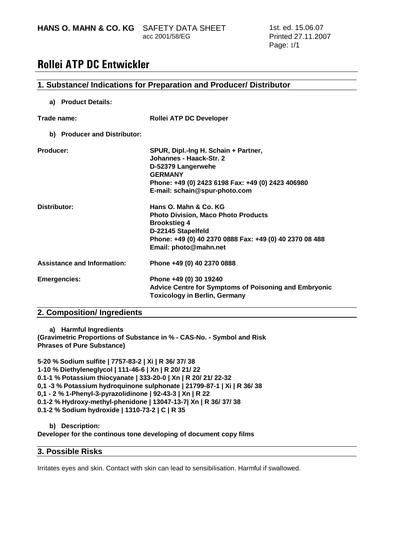**HANS O. MAHN & CO. KG** SAFETY DATA SHEET

acc 2001/58/EG

## Rollei ATP DC Entwickler

## **1. Substance/ Indications for Preparation and Producer/ Distributor**

#### **a) Product Details:**

| Trade name:                        | <b>Rollei ATP DC Developer</b>                                                                                                                                                                       |
|------------------------------------|------------------------------------------------------------------------------------------------------------------------------------------------------------------------------------------------------|
| b) Producer and Distributor:       |                                                                                                                                                                                                      |
| Producer:                          | SPUR, Dipl.-Ing H. Schain + Partner,<br>Johannes - Haack-Str. 2<br>D-52379 Langerwehe<br><b>GERMANY</b><br>Phone: +49 (0) 2423 6198 Fax: +49 (0) 2423 406980<br>E-mail: schain@spur-photo.com        |
| Distributor:                       | Hans O. Mahn & Co. KG<br><b>Photo Division, Maco Photo Products</b><br><b>Brookstieg 4</b><br>D-22145 Stapelfeld<br>Phone: +49 (0) 40 2370 0888 Fax: +49 (0) 40 2370 08 488<br>Email: photo@mahn.net |
| <b>Assistance and Information:</b> | Phone +49 (0) 40 2370 0888                                                                                                                                                                           |
| <b>Emergencies:</b>                | Phone +49 (0) 30 19240<br><b>Advice Centre for Symptoms of Poisoning and Embryonic</b><br><b>Toxicology in Berlin, Germany</b>                                                                       |

## **2. Composition/ Ingredients**

**a) Harmful Ingredients (Gravimetric Proportions of Substance in % - CAS-No. - Symbol and Risk Phrases of Pure Substance)** 

**5-20 % Sodium sulfite | 7757-83-2 | Xi | R 36/ 37/ 38 1-10 % Diethyleneglycol | 111-46-6 | Xn | R 20/ 21/ 22 0.1-1 % Potassium thiocyanate | 333-20-0 | Xn | R 20/ 21/ 22-32 0,1 -3 % Potassium hydroquinone sulphonate | 21799-87-1 | Xi | R 36/ 38 0,1 - 2 % 1-Phenyl-3-pyrazolidinone | 92-43-3 | Xn | R 22 0.1-2 % Hydroxy-methyl-phenidone | 13047-13-7| Xn | R 36/ 37/ 38 0.1-2 % Sodium hydroxide | 1310-73-2 | C | R 35** 

**b) Description:** 

**Developer for the continous tone developing of document copy films** 

## **3. Possible Risks**

Irritates eyes and skin. Contact with skin can lead to sensibilisation. Harmful if swallowed.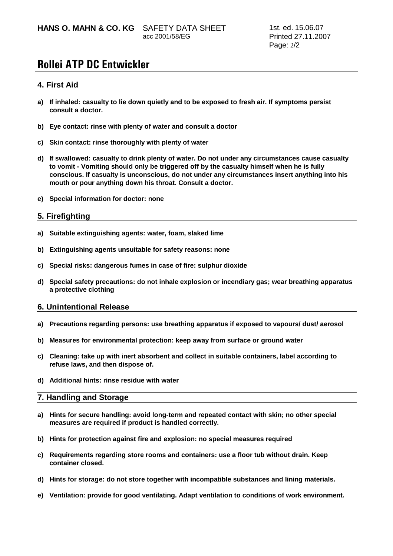acc 2001/58/EG

## Rollei ATP DC Entwickler

## **4. First Aid**

- **a) If inhaled: casualty to lie down quietly and to be exposed to fresh air. If symptoms persist consult a doctor.**
- **b) Eye contact: rinse with plenty of water and consult a doctor**
- **c) Skin contact: rinse thoroughly with plenty of water**
- **d) If swallowed: casualty to drink plenty of water. Do not under any circumstances cause casualty to vomit - Vomiting should only be triggered off by the casualty himself when he is fully conscious. If casualty is unconscious, do not under any circumstances insert anything into his mouth or pour anything down his throat. Consult a doctor.**
- **e) Special information for doctor: none**

### **5. Firefighting**

- **a) Suitable extinguishing agents: water, foam, slaked lime**
- **b) Extinguishing agents unsuitable for safety reasons: none**
- **c) Special risks: dangerous fumes in case of fire: sulphur dioxide**
- **d) Special safety precautions: do not inhale explosion or incendiary gas; wear breathing apparatus a protective clothing**

#### **6. Unintentional Release**

- **a) Precautions regarding persons: use breathing apparatus if exposed to vapours/ dust/ aerosol**
- **b) Measures for environmental protection: keep away from surface or ground water**
- **c) Cleaning: take up with inert absorbent and collect in suitable containers, label according to refuse laws, and then dispose of.**
- **d) Additional hints: rinse residue with water**

#### **7. Handling and Storage**

- **a) Hints for secure handling: avoid long-term and repeated contact with skin; no other special measures are required if product is handled correctly.**
- **b) Hints for protection against fire and explosion: no special measures required**
- **c) Requirements regarding store rooms and containers: use a floor tub without drain. Keep container closed.**
- **d) Hints for storage: do not store together with incompatible substances and lining materials.**
- **e) Ventilation: provide for good ventilating. Adapt ventilation to conditions of work environment.**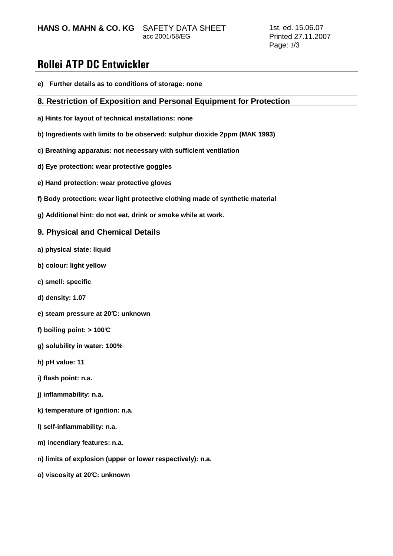**HANS O. MAHN & CO. KG** SAFETY DATA SHEET

acc 2001/58/EG

## Rollei ATP DC Entwickler

**e) Further details as to conditions of storage: none** 

### **8. Restriction of Exposition and Personal Equipment for Protection**

- **a) Hints for layout of technical installations: none**
- **b) Ingredients with limits to be observed: sulphur dioxide 2ppm (MAK 1993)**
- **c) Breathing apparatus: not necessary with sufficient ventilation**
- **d) Eye protection: wear protective goggles**
- **e) Hand protection: wear protective gloves**
- **f) Body protection: wear light protective clothing made of synthetic material**
- **g) Additional hint: do not eat, drink or smoke while at work.**

## **9. Physical and Chemical Details**

- **a) physical state: liquid**
- **b) colour: light yellow**
- **c) smell: specific**
- **d) density: 1.07**
- **e) steam pressure at 20°C: unknown**
- **f) boiling point: > 100°C**
- **g) solubility in water: 100%**
- **h) pH value: 11**
- **i) flash point: n.a.**
- **j) inflammability: n.a.**
- **k) temperature of ignition: n.a.**
- **l) self-inflammability: n.a.**
- **m) incendiary features: n.a.**
- **n) limits of explosion (upper or lower respectively): n.a.**
- **o) viscosity at 20°C: unknown**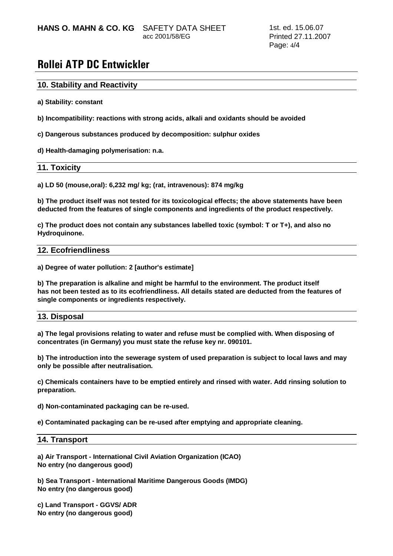acc 2001/58/EG

## Rollei ATP DC Entwickler

### **10. Stability and Reactivity**

**a) Stability: constant** 

**b) Incompatibility: reactions with strong acids, alkali and oxidants should be avoided** 

**c) Dangerous substances produced by decomposition: sulphur oxides** 

**d) Health-damaging polymerisation: n.a.** 

#### **11. Toxicity**

**a) LD 50 (mouse,oral): 6,232 mg/ kg; (rat, intravenous): 874 mg/kg** 

**b) The product itself was not tested for its toxicological effects; the above statements have been deducted from the features of single components and ingredients of the product respectively.** 

**c) The product does not contain any substances labelled toxic (symbol: T or T+), and also no Hydroquinone.** 

#### **12. Ecofriendliness**

**a) Degree of water pollution: 2 [author's estimate]** 

**b) The preparation is alkaline and might be harmful to the environment. The product itself has not been tested as to its ecofriendliness. All details stated are deducted from the features of single components or ingredients respectively.** 

### **13. Disposal**

**a) The legal provisions relating to water and refuse must be complied with. When disposing of concentrates (in Germany) you must state the refuse key nr. 090101.** 

**b) The introduction into the sewerage system of used preparation is subject to local laws and may only be possible after neutralisation.** 

**c) Chemicals containers have to be emptied entirely and rinsed with water. Add rinsing solution to preparation.** 

**d) Non-contaminated packaging can be re-used.** 

**e) Contaminated packaging can be re-used after emptying and appropriate cleaning.** 

#### **14. Transport**

**a) Air Transport - International Civil Aviation Organization (ICAO) No entry (no dangerous good)** 

**b) Sea Transport - International Maritime Dangerous Goods (IMDG) No entry (no dangerous good)** 

**c) Land Transport - GGVS/ ADR No entry (no dangerous good)**